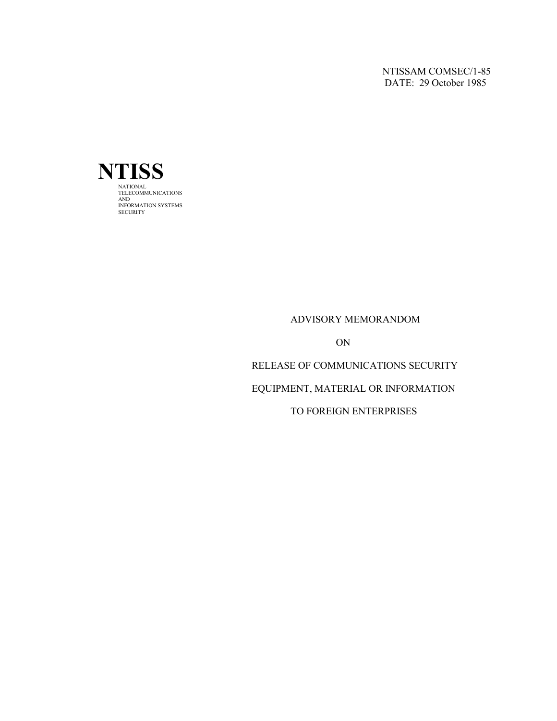NTISSAM COMSEC/1-85 DATE: 29 October 1985



#### ADVISORY MEMORANDOM

ON

## RELEASE OF COMMUNICATIONS SECURITY

## EQUIPMENT, MATERIAL OR INFORMATION

## TO FOREIGN ENTERPRISES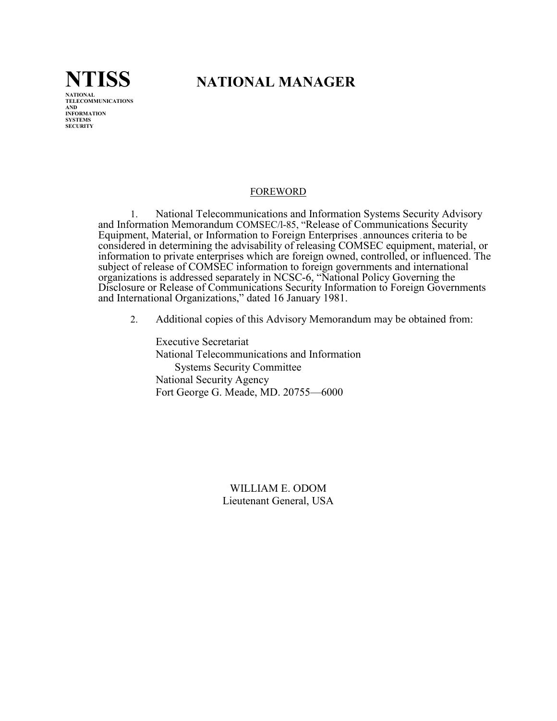

# **NTISS NATIONAL MANAGER**

## FOREWORD

1. National Telecommunications and Information Systems Security Advisory and Information Memorandum COMSEC/l-85, "Release of Communications Security Equipment, Material, or Information to Foreign Enterprises , announces criteria to be considered in determining the advisability of releasing COMSEC equipment, material, or information to private enterprises which are foreign owned, controlled, or influenced. The subject of release of COMSEC information to foreign governments and international organizations is addressed separately in NCSC-6, "National Policy Governing the Disclosure or Release of Communications Security Information to Foreign Governments and International Organizations," dated 16 January 1981.

2. Additional copies of this Advisory Memorandum may be obtained from:

Executive Secretariat National Telecommunications and Information Systems Security Committee National Security Agency Fort George G. Meade, MD. 20755—6000

> WILLIAM E. ODOM Lieutenant General, USA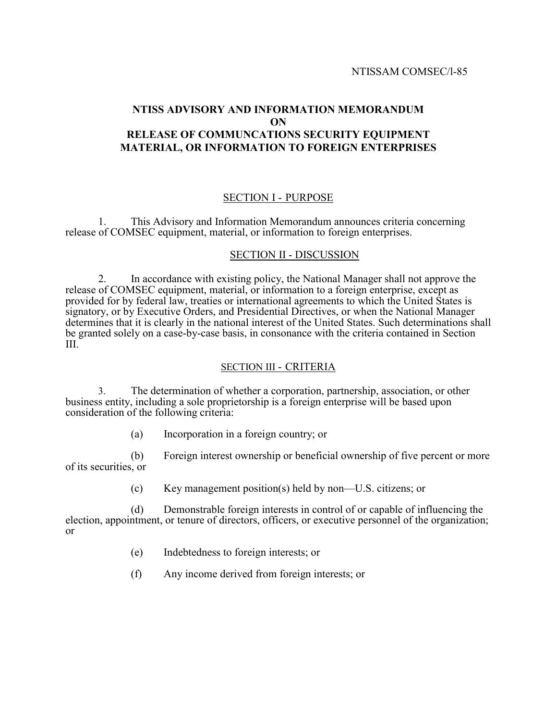## **NTISS ADVISORY AND INFORMATION MEMORANDUM ON RELEASE OF COMMUNCATIONS SECURITY EQUIPMENT MATERIAL, OR INFORMATION TO FOREIGN ENTERPRISES**

## SECTION I - PURPOSE

1. This Advisory and Information Memorandum announces criteria concerning release of COMSEC equipment, material, or information to foreign enterprises.

#### SECTION II - DISCUSSION

2. In accordance with existing policy, the National Manager shall not approve the release of COMSEC equipment, material, or information to a foreign enterprise, except as provided for by federal law, treaties or international agreements to which the United States is signatory, or by Executive Orders, and Presidential Directives, or when the National Manager determines that it is clearly in the national interest of the United States. Such determinations shall be granted solely on a case-by-case basis, in consonance with the criteria contained in Section III.

## SECTION III - CRITERIA

3. The determination of whether a corporation, partnership, association, or other business entity, including a sole proprietorship is a foreign enterprise will be based upon consideration of the following criteria:

(a) Incorporation in a foreign country; or

(b) Foreign interest ownership or beneficial ownership of five percent or more of its securities, or

(c) Key management position(s) held by non—U.S. citizens; or

(d) Demonstrable foreign interests in control of or capable of influencing the election, appointment, or tenure of directors, officers, or executive personnel of the organization; or

- (e) Indebtedness to foreign interests; or
- (f) Any income derived from foreign interests; or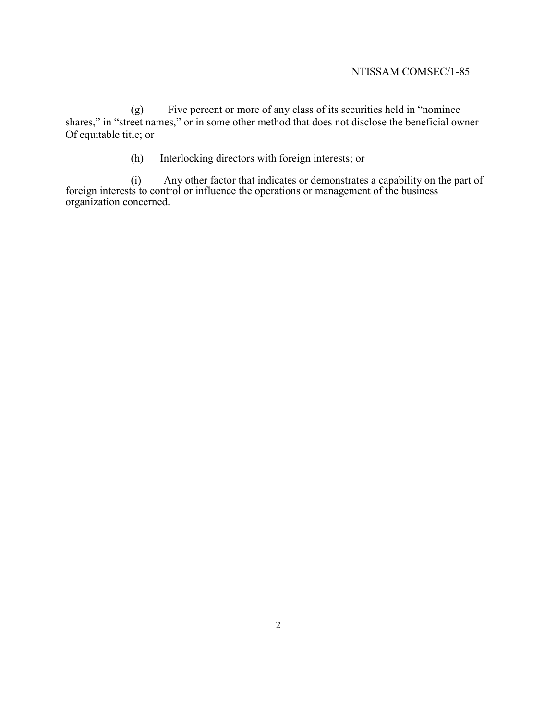## NTISSAM COMSEC/1-85

(g) Five percent or more of any class of its securities held in "nominee shares," in "street names," or in some other method that does not disclose the beneficial owner Of equitable title; or

(h) Interlocking directors with foreign interests; or

(i) Any other factor that indicates or demonstrates a capability on the part of foreign interests to control or influence the operations or management of the business organization concerned.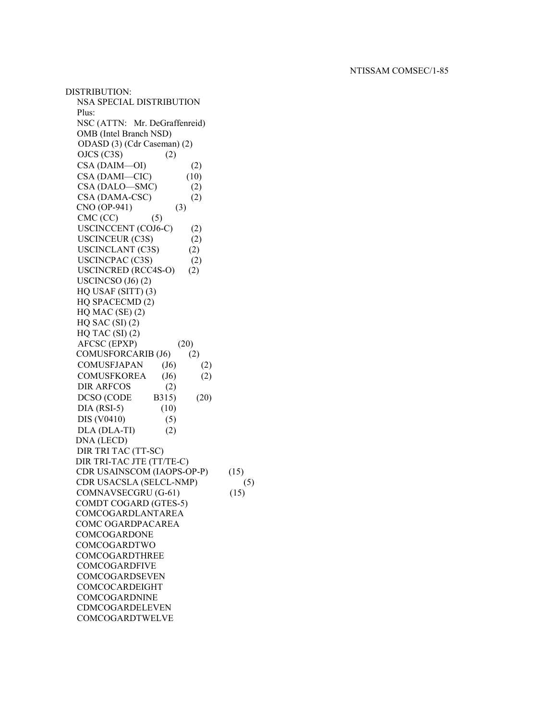DISTRIBUTION: NSA SPECIAL DISTRIBUTION Plus: NSC (ATTN: Mr. DeGraffenreid) OMB (Intel Branch NSD) ODASD (3) (Cdr Caseman) (2)  $OJCS (C3S)$  (2)  $CSA (DAIM—OI)$  (2)  $CSA (DAMI—CIC)$  (10)  $CSA (DALO—SMC)$  (2) CSA (DAMA-CSC) (2) CNO (OP-941) (3)  $CMC (CC)$  (5) USCINCCENT (COJ6-C) (2) USCINCEUR (C3S) (2) USCINCLANT (C3S) (2) USCINCPAC (C3S) (2) USCINCRED (RCC4S-O) (2) USCINCSO  $(J6)$   $(2)$ HQ USAF (SITT) (3) HQ SPACECMD (2)  $HO$  MAC (SE)  $(2)$  $HQ$  SAC  $(SI)$  $(2)$  $HQ$  TAC  $(SI)$   $(2)$  AFCSC (EPXP) (20) COMUSFORCARIB (J6) (2) COMUSFJAPAN (J6) (2) COMUSFKOREA (J6) (2) DIR ARFCOS (2) DCSO (CODE B315) (20)  $DIA (RSI-5)$  (10) DIS (V0410) (5)  $DLA (DLA-TI)$  (2) DNA (LECD) DIR TRI TAC (TT-SC) DIR TRI-TAC JTE (TT/TE-C) CDR USAINSCOM (IAOPS-OP-P) (15) CDR USACSLA (SELCL-NMP) (5)  $COMNAVSECGRU (G-61)$  (15) COMDT COGARD (GTES-5) COMCOGARDLANTAREA COMC OGARDPACAREA **COMCOGARDONE** COMCOGARDTWO COMCOGARDTHREE COMCOGARDFIVE COMCOGARDSEVEN COMCOCARDEIGHT COMCOGARDNINE CDMCOGARDELEVEN COMCOGARDTWELVE